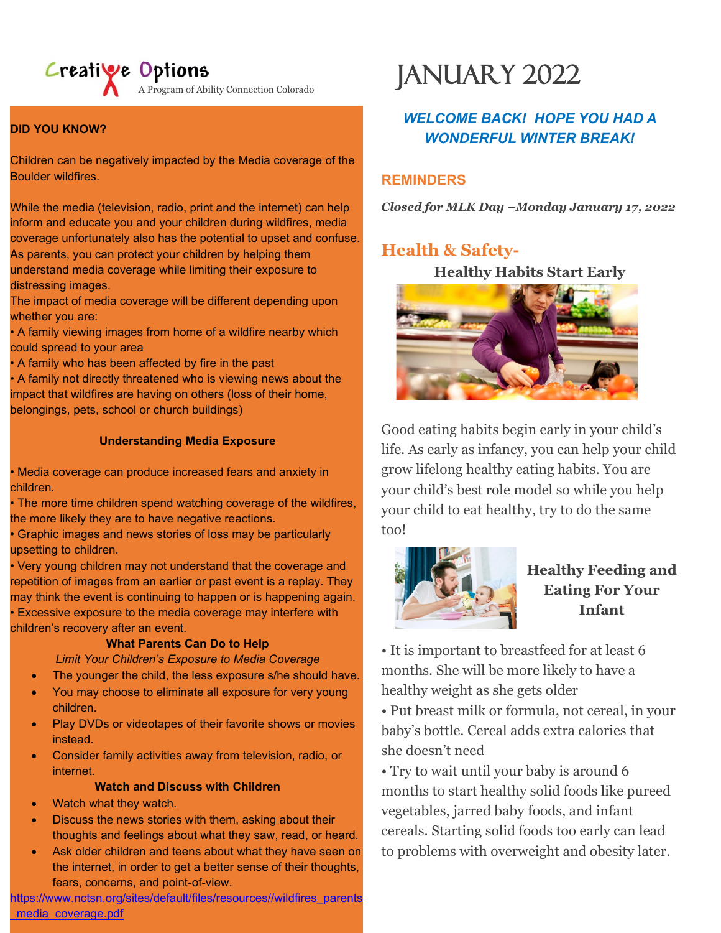## Creative Options

lity<br>— A Program of Ability Connection Colorado

#### **DID YOU KNOW?**

Children can be negatively impacted by the Media coverage of the Boulder wildfires.

While the media (television, radio, print and the internet) can help inform and educate you and your children during wildfires, media coverage unfortunately also has the potential to upset and confuse. As parents, you can protect your children by helping them understand media coverage while limiting their exposure to distressing images.

The impact of media coverage will be different depending upon whether you are:

• A family viewing images from home of a wildfire nearby which could spread to your area

• A family who has been affected by fire in the past

• A family not directly threatened who is viewing news about the impact that wildfires are having on others (loss of their home, belongings, pets, school or church buildings)

#### **Understanding Media Exposure**

• Media coverage can produce increased fears and anxiety in children.

• The more time children spend watching coverage of the wildfires, the more likely they are to have negative reactions.

• Graphic images and news stories of loss may be particularly upsetting to children.

• Very young children may not understand that the coverage and repetition of images from an earlier or past event is a replay. They may think the event is continuing to happen or is happening again. • Excessive exposure to the media coverage may interfere with children's recovery after an event.

#### **What Parents Can Do to Help**

*Limit Your Children's Exposure to Media Coverage*

- The younger the child, the less exposure s/he should have.
- You may choose to eliminate all exposure for very young children.
- Play DVDs or videotapes of their favorite shows or movies instead.
- Consider family activities away from television, radio, or internet.

### **Watch and Discuss with Children**

- Watch what they watch.
- Discuss the news stories with them, asking about their thoughts and feelings about what they saw, read, or heard.
- Ask older children and teens about what they have seen on the internet, in order to get a better sense of their thoughts, fears, concerns, and point-of-view.

[https://www.nctsn.org/sites/default/files/resources//wildfires\\_parents](https://www.nctsn.org/sites/default/files/resources/wildfires_parents_media_coverage.pdf) media\_coverage.pdf

# JANUARY 2022

## *WELCOME BACK! HOPE YOU HAD A WONDERFUL WINTER BREAK!*

### **REMINDERS**

*Closed for MLK Day –Monday January 17, 2022*

## **Health & Safety-**

**Healthy Habits Start Early**



Good eating habits begin early in your child's life. As early as infancy, you can help your child grow lifelong healthy eating habits. You are your child's best role model so while you help your child to eat healthy, try to do the same too!



## **Healthy Feeding and Eating For Your Infant**

• It is important to breastfeed for at least 6 months. She will be more likely to have a healthy weight as she gets older

• Put breast milk or formula, not cereal, in your baby's bottle. Cereal adds extra calories that she doesn't need

• Try to wait until your baby is around 6 months to start healthy solid foods like pureed vegetables, jarred baby foods, and infant cereals. Starting solid foods too early can lead to problems with overweight and obesity later.